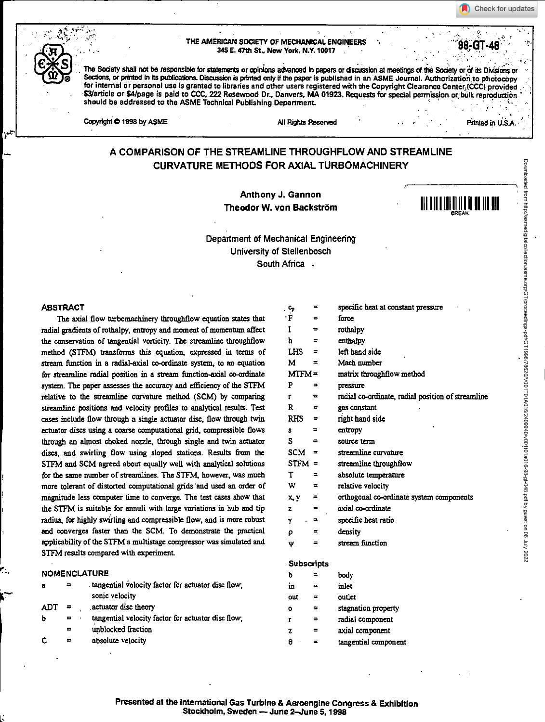**A** Check for updates

#### **THE AMERICAN SOCIETY OF MECHANICAL ENGINEERS 345 E. 47111 St., New York, N.Y. 10017**

The Society shall not be responsible for statements or opinions advanced in papers or discussion at meetings of the Society or of its Divisions or Sections, or printed in its publications. Discussion is printed only if the paper is published in an ASME Journal. Authorization to photocopy for internal or personal use is granted to libraries and other users registered with the Copyright Clearance Center, (CCC) provided \$3/article or \$4/page is paid to CCC, 222 Rosewood Dr., Danvers, MA 01923. Requests for special permission or bulk reproduction **should be addressed to the ASME Technical Publishing Department** 

**Copyright © 1998 by ASME** AU Rights Reserved **Final AU Rights Reserved Final AU Rights Reserved Final AU Rights Reserved Final AU Rights Reserved Final AU Rights Reserved Final AU Rights Reserved Final AU Righ** 

**, .. .** 

98-GT-4

# **A COMPARISON OF THE STREAMLINE THROUGHFLOW AND STREAMLINE CURVATURE METHODS FOR AXIAL TURBOMACHINERY**

Anthony J. Gannon Theodor W. von Backstrom 11111111111111<sup>1111111111</sup>



## Department of Mechanical Engineering University of Stellenbosch South Africa .

#### **ABSTRACT**

**The axial flow turbomachinery throughtlow equation states that radial gradients of rothalpy, entropy and moment of momentum affect the conservation of tangential vorticity. The streamline throughflow method (STEM) transforms this equation, expressed in terms of stream function in a radial-axial co-ordinate system, to an equation for streamline radial position in a stream function-axial co-ordinate system. The paper assesses the accuracy and efficiency of the STFM relative to the streamline curvature method (SCM) by comparing streamline positions and velocity profiles to analytical results. Test cases include flow through a single actuator disc,** flow **through twin actuator discs using a coarse computational grid, compressible flows through an almost choked nozzle, through single and twin actuator discs, and swirling flow using sloped stations. Results from the STFM and SCM agreed about equally well with analytical solutions for the same number of streamlines. The STEM, however, was much more tolerant of distorted computational grids and used an order of magnitude less computer time to converge. The test cases show that the STFM is suitable for annuli with large variations in hub and tip radius, for highly swirling and compressible flow, and is more robust and converges faster than the SCM. To demonstrate the practical applicability of the STEM a multistage compressor was simulated and STEM results compared with experiment** 

#### **• tangential Velocity factor for actuator disc flow, sonic velocity .actuator disc theory tangential velocity factor for actuator disc flow, unblocked fraction absolute velocity**  NOMENCLATURE **a ADT = b •**

|                   | . ၄      | $=$            | specific heat at constant pressure                |
|-------------------|----------|----------------|---------------------------------------------------|
|                   | ۰F       | ᇹ              | force                                             |
|                   | Ī        | Ξ.             | rothalpy                                          |
|                   | h        | =              | enthalpy                                          |
|                   | LHS      | =              | left hand side                                    |
|                   | М        | $\equiv$       | Mach number                                       |
|                   | $MTFM =$ |                | matrix throughflow method                         |
|                   | P        | =              | pressure                                          |
|                   | r        | ᆓ              | radial co-ordinate, radial position of streamline |
|                   | R        | $\equiv$       | gas constant                                      |
|                   | $RHS =$  |                | right hand side                                   |
|                   | Ŝ        | ᇹ              | entropy                                           |
|                   | S        | $\equiv$       | source term                                       |
|                   | $SCM =$  |                | streamline curvature                              |
|                   | $STFM =$ |                | streamline throughflow                            |
|                   | T        | $\equiv$       | absolute temperature                              |
|                   | w        |                | relative velocity                                 |
|                   | x, y     | ٠              | orthogonal co-ordinate system components          |
|                   | z        | $\equiv$       | axial co-ordinate                                 |
|                   | ۲        |                | specific heat ratio                               |
|                   | P        | $\blacksquare$ | density                                           |
|                   | Ψ        | =              | stream function                                   |
|                   |          |                |                                                   |
| <b>Subscripts</b> |          |                |                                                   |
|                   | Ъ        | =              | body                                              |
|                   | in       | ≖              | inlet                                             |
|                   | out      | =              | outlet                                            |
|                   |          |                |                                                   |

| out     | =        | outlet               |
|---------|----------|----------------------|
| $\circ$ | 22       | stagnation property  |
| г       | $\equiv$ | radiai component     |
| z       | =        | axial component      |
| ρ       | ≖        | tangential component |

**tangential component**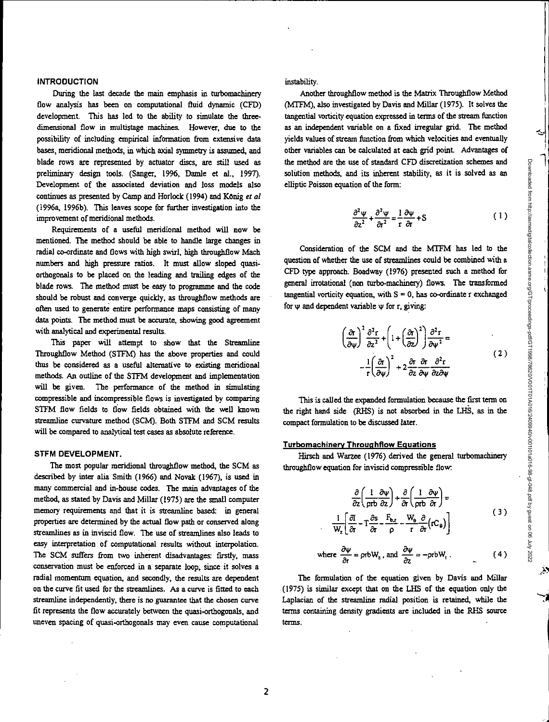#### **INTRODUCTION**

During the last decade the main emphasis in turbomachinery flow analysis has been on computational fluid dynamic (CEO) development. This has led to the ability to simulate the threedimensional flow in multistage machines. However, due to the possibility of including empirical information from extensive data *bases,* meridional methods, in which axial symmetry is assumed, and blade rows are represented by actuator discs, are still used as preliminary design tools. (Sanger, 1996, Damle et al., 1997). Development of the associated deviation and loss models also continues as presented by Camp and Horlock (1994) and König *et al* (1996a, 1996b). This leaves scope for further investigation into the improvement of meridional methods.

Requirements of a useful meridional method will now be mentioned. The method should be able to handle large changes in radial co-ordinate and flows with high swirl, high throughflow Mach numbers and high pressure ratios. It must allow sloped quasiorthogonals to be placed on the leading and trailing edges of the blade rows. The method must be easy to programme and the code should be robust and converge quickly, as throughflow methods are often used to generate entire performance maps consisting of many data points. The method must be accurate, showing good agreement with analytical and experimental results.

This paper will attempt to show that the Streamline Throughflow Method (STEM) has the above properties and could thus be considered as a useful alternative to existing meridional methods. An outline of the STEM development and implementation will be given. The performance of the method in simulating compressible and incompressible flows is investigated by comparing STEM flow fields to flow fields obtained with the well known streamline curvature method (SCM). Both STEM and SCM results will *be* compared to analytical test cases as absolute reference.

#### **STFM DEVELOPMENT.**

The most popular meridional throughflow method, the SCM as described by inter alia Smith (1966) and Novak (1967), is used in many commercial and in-house codes. The main advantages of the method, as stated by Davis and Millar (1975) are the small computer memory requirements and that it is streamline based: in general properties are determined by the actual flow path or conserved along streamlines as in inviscid flow. The use of streamlines also leads to easy interpretation of computational results without interpolation. The SCM suffers from two inherent disadvantages: firstly, mass conservation must be enforced in a separate loop, since it solves a radial momentum equation, and secondly, the results are dependent on the curve fit used for the streamlines. As a curve is fitted to each streamline independently, there is no guarantee that the chosen curve fit represents the flow accurately between the quasi-orthogonals, and uneven spacing of quasi-orthogonals may even cause computational

instability.

Another throughflow method is the Matrix Throughflow Method (MTFM), also investigated by Davis and Millar (1975). It solves the tangential vorticity equation expressed in terms of the stream function as an independent variable on a fixed irregular grid, The method yields values of stream function from which velocities and eventually other variables can be calculated at each grid point. Advantages of the method are the use of standard CEO discretization schemes and solution methods, and its inherent stability, as it is solved as an elliptic Poisson equation of the form:

$$
\frac{\partial^2 \psi}{\partial z^2} + \frac{\partial^2 \psi}{\partial t^2} = \frac{1}{r} \frac{\partial \psi}{\partial r} + S \tag{1}
$$

Consideration of the SCM and the MTFM has led to the question of whether the use of streamlines could be combined with a CEO type approach. Boadway (1976) presented such a method for general irrotational (non turbo-machinery) flows. The transformed tangential vorticity equation, with  $S = 0$ , has co-ordinate r exchanged for  $\psi$  and dependent variable  $\psi$  for r, giving:

$$
\left(\frac{\partial r}{\partial \psi}\right)^2 \frac{\partial^2 r}{\partial z^2} + \left(1 + \left(\frac{\partial r}{\partial z}\right)^2\right) \frac{\partial^2 r}{\partial \psi^2} = -\frac{1}{r} \left(\frac{\partial r}{\partial \psi}\right)^2 + 2 \frac{\partial r}{\partial z} \frac{\partial r}{\partial \psi} \frac{\partial^2 r}{\partial z \partial \psi}
$$
\n(2)

This is called the expanded formulation because the first term on the right hand side (RHS) is not absorbed in the LHS, as in the compact formulation to be discussed later.

#### **Turbomachinerv Throuqhflow Equations**

Hirsch and Warzee (1976) derived the general turbomachinery throughflow equation for inviscid compressible flow.

$$
\frac{\partial}{\partial z} \left( \frac{1}{\rho r b} \frac{\partial \psi}{\partial z} \right) + \frac{\partial}{\partial r} \left( \frac{1}{\rho r b} \frac{\partial \psi}{\partial r} \right) =
$$
\n
$$
\frac{1}{W_z} \left[ \frac{\partial I}{\partial r} - T \frac{\partial s}{\partial r} - \frac{F_{b,z}}{\rho} - \frac{W_b}{r} \frac{\partial}{\partial r} \left( r C_{\theta} \right) \right]
$$
\n(3)

where 
$$
\frac{\partial \psi}{\partial t} = \rho r b W_z
$$
, and  $\frac{\partial \psi}{\partial z} = -\rho r b W_r$ . (4)

The formulation of *the* equation given by Davis and Millar (1975) is similar except that on the LHS of the equation only the Laplacian of the streamline radial position is retained, while the terms containing density gradients are included in the RHS source tams.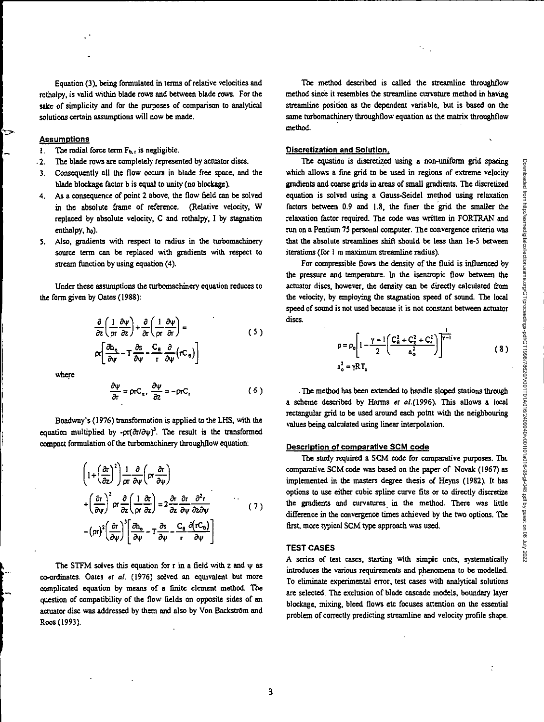$\ddot{\cdot}$ 

Downloaded from http://asmedigitalcollection.asme.org/GT/proceedings-pdf/GT1998/78620/V001T01A016/2409940/v001t01a016-98-gt-048.pdf by guest on 06 July 2022

Equation (3), being formulated in terms of relative velocities and rothalpy, is valid within blade rows and between blade rows. For the sake of simplicity and for the purposes of comparison to analytical solutions certain assumptions will now be made.

#### **Assumptions**

- **1.** The radial force term  $F_{b,r}$  is negligible.
- The blade rows are completely represented by actuator discs.
- 3. Consequently all the flow occurs in blade free space, and the blade blockage factor b is equal to unity (no blockage).
- 4. As a consequence of point 2 above, the flow field can be solved in the absolute frame of reference. (Relative velocity, W replaced by absolute velocity, C and rothalpy, I by stagnation enthalpy, ho).
- 5. Also, gradients with respect to radius in the turbomachinery source term can be replaced with gradients with respect to stream function by using equation (4).

Under these assumptions the turbomachinery equation reduces to the form given by Oates (1988):

$$
\frac{\partial}{\partial z} \left( \frac{1}{\rho r} \frac{\partial \psi}{\partial z} \right) + \frac{\partial}{\partial r} \left( \frac{1}{\rho r} \frac{\partial \psi}{\partial r} \right) =
$$
\n
$$
\rho r \left[ \frac{\partial h_e}{\partial \psi} - T \frac{\partial s}{\partial \psi} - \frac{C_e}{r} \frac{\partial}{\partial \psi} (r C_e) \right]
$$
\n(5)

where

$$
\frac{\partial \psi}{\partial r} = \rho r C_z, \frac{\partial \psi}{\partial z} = -\rho r C_r \tag{6}
$$

Boadway's (1976) transformation is applied to the LHS, with the equation multiplied by - $\text{pr}(\partial \tau/\partial \psi)^3$ . The result is the transformed compact formulation of the turbomachinery throughflow equation:

$$
\left(1 + \left(\frac{\partial r}{\partial z}\right)^2\right) \frac{1}{\rho r} \frac{\partial}{\partial \psi} \left(\rho r \frac{\partial r}{\partial \psi}\right)
$$
  
+ 
$$
\left(\frac{\partial r}{\partial \psi}\right)^2 \rho r \frac{\partial}{\partial z} \left(\frac{1}{\rho r} \frac{\partial r}{\partial z}\right) = 2 \frac{\partial r}{\partial z} \frac{\partial r}{\partial \psi} \frac{\partial^2 r}{\partial z \partial \psi}
$$
  
- 
$$
\left(\rho r\right)^2 \left(\frac{\partial r}{\partial \psi}\right)^3 \left[\frac{\partial h_o}{\partial \psi} - \Gamma \frac{\partial s}{\partial \psi} - \frac{C_e}{r} \frac{\partial \left(rC_e\right)}{\partial \psi}\right]
$$
(7)

The STFM solves this equation for  $r$  in a field with  $z$  and  $\psi$  as co-ordinates. Oates et al. (1976) solved an equivalent but more complicated equation by means of a finite element method. The question of compatibility of the flow fields on opposite sides of an actuator disc was addressed by them and also by Von Backström and Roos (1993).

The method described is called the streamline throughflow method since it resembles the streamline curvature method in having streamline position as the dependent variable, but is based on the same turbomachinery throughflow equation as the matrix throughflow method.

#### **Discretization and Solution.**

The equation is discretized using a non-uniform grid spacing which allows a fine grid tn be used in regions of extreme velocity gradients and coarse grids in areas of small gradients. The discretized equation is solved using a Gauss-Seidel method using relaxation factors between 0.9 and 1.8, the finer the grid the smaller the relaxation factor required. The code was written in FORTRAN and run on a Pentium 75 personal computer. The convergence criteria was that the absolute streamlines shift should be less than le-5 between iterations (for  $1$  m maximum streamline radius).

For compressible flows the density of the fluid is influenced by the pressure and temperature. In the isentropic flow between the actuator discs, however, the density can be directly calculated from the velocity, by employing the stagnation speed of sound. The local speed of sound is not used because it is not constant between actuator discs.

$$
\rho = \rho_0 \left[ 1 - \frac{\gamma - 1}{2} \left( \frac{C_0^2 + C_z^2 + C_t^2}{a_0^2} \right) \right]^{\frac{1}{\gamma - 1}}
$$
\n
$$
a_0^2 = \gamma R T_0
$$
\n(8)

. The method has been extended to handle sloped stations through a scheme described by Harms et al.(1996). This allows a local rectangular grid to be used around each point with the neighbouring values being calculated using linear interpolation.

#### **Description of comparative SCM code**

**The** study required a SCM code for comparative purposes. The comparative SCM code was based on the paper of Novak (1967) as implemented in the masters degree thesis of Heyns (1982). It has options to use either cubic spline curve fits or to directly discretize the gradients and curvatures in the method. There was little difference in the convergence times achieved by the two options. The first, more typical SCM type approach was used

## **TEST CASES**

A series of test cases, starting with simple ones, systematically introduces the various requirements and phenomena to be modelled. To eliminate experimental error, test cases with analytical solutions are selected. The exclusion of blade cascade models, boundary layer blockage, mixing, bleed flows etc focuses attention on the essential problem of correctly predicting streamline and velocity profile shape.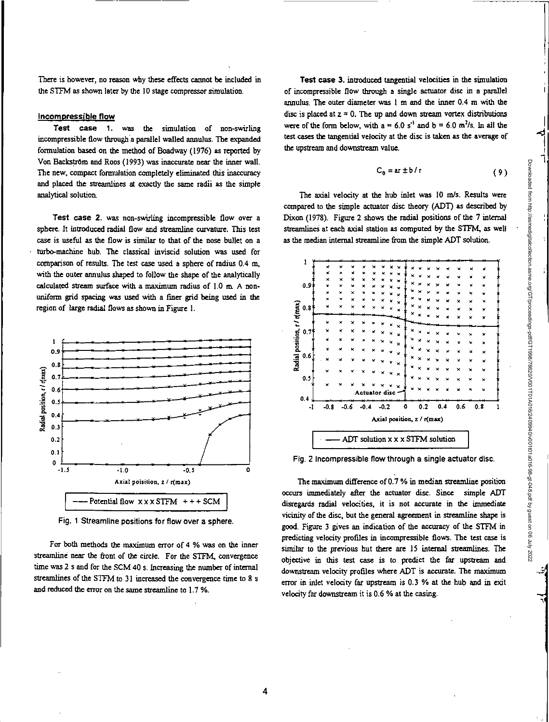There is however, no reason why these effects cannot be included in the STFM as shown later by the 10 stage compressor simulation.

## Incompressible flow

Test case 1. was the simulation of non-swirling incompressible flow through a parallel walled annulus. The expanded formulation based on the method of Boadway (1976) as reported by Von Backström and Roos (1993) was inaccurate near the inner wall. The new, compact formulation completely eliminated this inaccuracy and placed the streamlines at exactly the same radii as the simple analytical solution.

Test case 2. was non-swirling incompressible flow over a sphere. It introduced radial flow and streamline curvature. This test case is useful as the flow is similar to that of the nose bullet on a • turbo-machine hub. The classical inviscid solution was used for comparison of results. The test case used a sphere of radius 0.4 m, with the outer annulus shaped to follow the shape of the analytically calculated stream surface with a maximum radius of 1.0 m. A nonuniform gid spacing was used with a finer grid being used in the region of large radial flows as shown in Figure 1.



Fig. 1 Streamline positions for flow over a sphere.

For both methods the maximum error of 4 % was on the inner streamline near the front of the circle. For the STFM, convergence time was 2 s and for the SCM 40 s. Increasing the number of internal streamlines of the STFM to 31 increased the convergence time to 8 s and reduced the error on the same streamline to 1.7 %.

Test case 3. introduced tangential velocities in the simulation of incompressible flow through a single actuator disc in a parallel annulus. The outer diameter was I m and the inner 0.4 m with the disc is placed at  $z = 0$ . The up and down stream vortex distributions were of the form below, with  $a = 6.0 s^{-1}$  and  $b = 6.0 m^2/s$ . In all the test cases the tangential velocity at the disc is taken as the average of the upstream and downstream value.

$$
C_{\theta} = ar \pm b/r
$$
 (9)

The axial velocity at the hub inlet was 10 m/s. Results were compared to the simple actuator disc theory (ADT) as described by Dixon (1978). Figure 2 shows the radial positions of the 7 internal streamlines at each axial station as computed by the STFM, as well as the median internal streamline from the simple ADT solution.



Fig. 2 Incompressible flow through a single actuator disc.

The maximum difference of 0.7% in median streamline position occurs immediately after the actuator disc. Since simple ADT disregards radial velocities, it is not accurate in the immediate vicinity of the disc, but the general agreement in streamline shape is good. Figure 3 gives an indication of the accuracy of the STFM in predicting velocity profiles in incompressible flows. The test case is similar to the previous but there are 15 internal streamlines. The objective in this test case is to predict the far upstream and downstream velocity profiles where ADT is accurate. The maximum error in inlet velocity far upstream is 0.3 % at the hub and in exit velocity far downstream it is 0.6 % at the casing.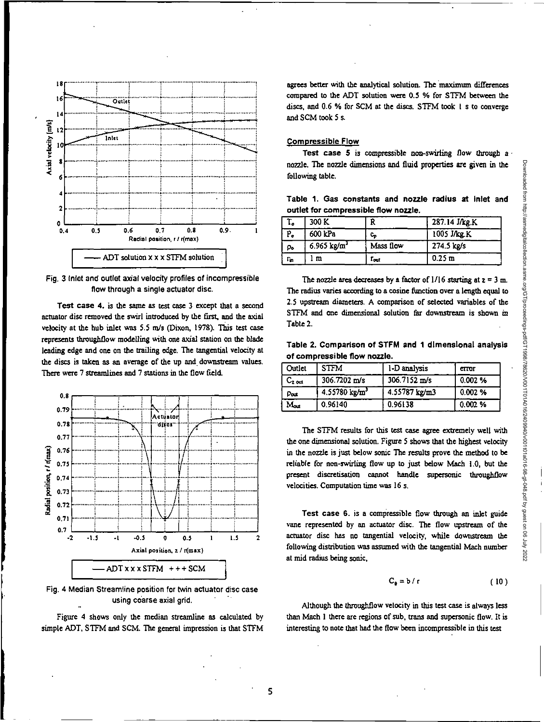

Fig. 3 inlet and outlet axial velocity profiles of incompressible flow through a single actuator disc.

**Test case 4.** is the same as test case 3 except that a second actuator disc removed the swirl introduced by the first, and the axial velocity at the hub inlet was 5.5 rn/s (Dixon, 1978). This test case represents duroughtlow modelling with one axial station on the *blade*  leading edge and one on the trailing edge. The tangential velocity at the discs is taken as *an* average of the up and downstream values. There were 7 streamlines and 7 stations in the flow field.



Fig. 4 Median Streamline position for twin actuator disc case using coarse axial grid.

Figure 4 shows only the median streamline as calculated by simple ADT, STEM and SCM. The general impression is that STEM agrees better with the analytical solution. The maximum differences compared to the ADT solution were 0.5 % for STFM between the discs, and 0.6 % for SCM at the discs. STEM took 1 s to converge and SCM took 5 s.

## **Compressible Flow**

**Test case 5** is compressible non-swirling flow through a' nozzle. The nozzle dimensions and fluid properties are given in the following table.

Table **1. Gas constants and nozzle radius at Inlet and outlet for compressible flow nozzle.** 

| т,   | 300 K                  | R             | 287.14 J/kg.K     |
|------|------------------------|---------------|-------------------|
| Р.   | 600 kPa                | c,            | 1005 J/kg.K       |
| p.   | $6.965 \text{ kg/m}^3$ | Mass flow     | 274.5 kg/s        |
| T'n. | m                      | $r_{\rm out}$ | 0.25 <sub>m</sub> |

The nozzle area decreases by a factor of  $1/16$  starting at  $z = 3$  m. The radius varies according to a cosine function over a length equal to 2.5 upstream diameters. A comparison of selected variables of the STFM and one dimensional solution far downstream is shown in Table 2.

**Table 2. Comparison of STEM and 1 dimensional analysis of compressible flow nozzle.** 

| Outlet                  | <b>STFM</b>                 | 1-D analysis  | CTTOT  |
|-------------------------|-----------------------------|---------------|--------|
| $\mathtt{C_{z \, out}}$ | 306.7202 m/s                | 306.7152 m/s  | 0.002% |
| Pout                    | $4.55780$ kg/m <sup>3</sup> | 4.55787 kg/m3 | 0.002% |
| Mou                     | 0.96140                     | 0.96138       | 0.002% |

The STFM results for this test case agree extremely well with the one dimensional solution. Figure 5 shows that the highest velocity in the nozzle is just below sonic The results prove the method to be reliable for non-swirling flow up to just below Mach 1.0, but the present discretisation cannot handle supersonic throughflow velocities. Computation time was 16 s.

**Test case 6.** is a compressible flow through an inlet guide vane represented by an actuator disc. The flow upstream of the actuator disc has no tangential velocity, while downstream the following distribution was assumed with the tangential Mach number at mid radius being sonic,

$$
C_{\theta} = b / r \tag{10}
$$

Although the throughflow velocity in this test case is always less than Mach 1 there are regions of sub, trans and supersonic flow. It is interesting to note that **had** the flow been incompressible in this test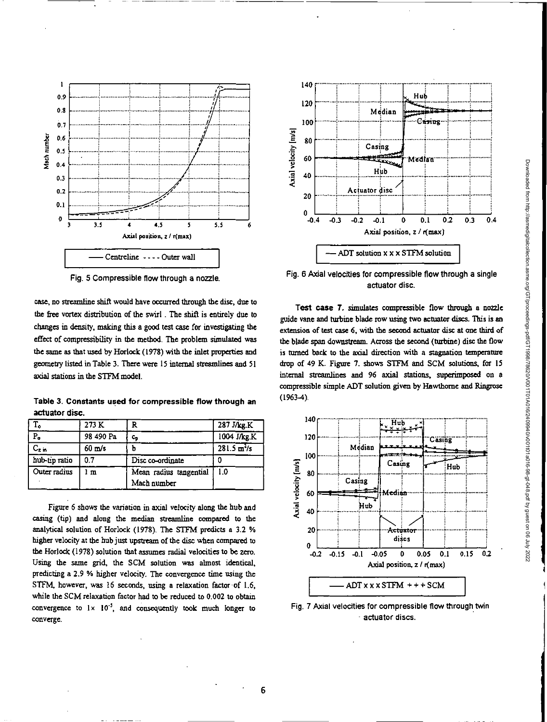

Fig. 5 Compressible flow through a nozzle

case, no streamline shift would have occurred through the disc, due to the free vortex distribution of the swirl . The shift is entirely due to changes in density, making this a good test case for investigating the effect of compressibility in the method. The problem simulated was the same as that used by Horlock (1978) with the inlet properties and geometry listed in Table 3. There were 15 internal streamlines and 51 axial stations in the STEM model.

**Table 3. Constants used for compressible flow through an actuator disc.** 

| $\overline{T}_{\bullet}$ | 273 K            | R                      | 287 J/kg.K            |
|--------------------------|------------------|------------------------|-----------------------|
| $P_o$                    | 98 490 Pa        | c,                     | 1004 J/kg K           |
| $C_{z,m}$                | $60 \text{ m/s}$ |                        | $281.5 \frac{m^2}{s}$ |
| hub-tip ratio            | 0.7              | Disc co-ordinate       |                       |
| Outer radius             | l m              | Mean radius tangential | 1.0                   |
|                          |                  | Mach number            |                       |

Figure 6 shows the variation in axial velocity along the hub and casing (tip) and along the median streamline compared to the analytical solution of Horlock (1978). The STEM predicts a 3.2 % higher velocity at the hub just upstream of the disc when compared to the Horlock (1978) solution that assumes radial velocities to be zero. Using the same grid, the SCM solution was almost identical, predicting a 2.9 % higher velocity. The convergence time using the STFM, however, was 16 seconds, using a relaxation factor of 1.6, while the SCM relaxation factor had to be reduced to 0.002 to obtain convergence to  $1 \times 10^{-5}$ , and consequently took much longer to converge.



Fig. 6 Axial velocities for compressible flow through a single actuator disc.

Test case 7. simulates compressible flow through a nozzle guide vane and turbine blade row using two actuator discs This is an extension of test case 6, with the second actuator disc at one third of the blade span downstream. Across the second (turbine) disc the flow is turned back to the axial direction with a stagnation temperature drop of 49 K. Figure 7. shows STEM and SCM solutions, for 15 internal streamlines and 96 axial stations, superimposed on a compressible simple ADT solution given by Hawthorne and Ringrose (1963-4).



Fig. 7 Axial velocities for compressible flow through twin actuator discs.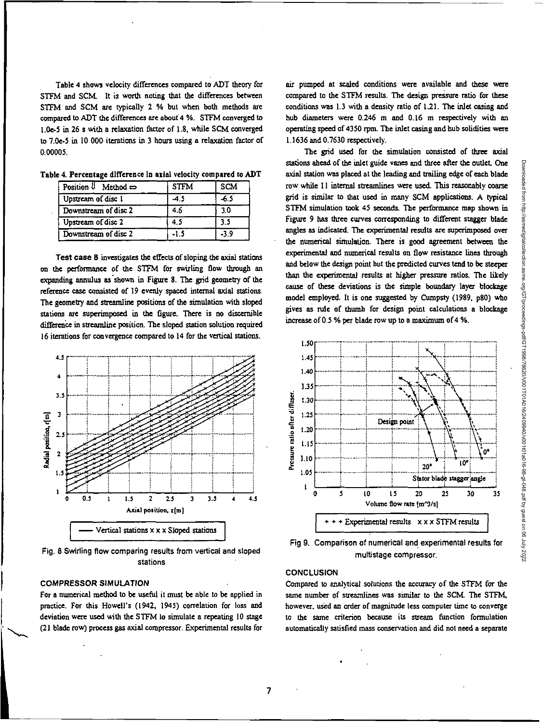Table 4 shows velocity differences compared to ADT theory for STEM and SCM. It is worth noting that the differences between STEM and SCM are typically 2 % but when both methods are compared to ADT the differences are about 4 %. STEM converged to 1.0e-5 in 26 s with a relaxation factor of 1.8, while SCM converged to 7.0e-5 in 10 000 iterations in 3 hours using a relaxation factor of 0.00005.

| Position $\emptyset$ Method $\Rightarrow$ | <b>STFM</b> | <b>SCM</b> |
|-------------------------------------------|-------------|------------|
| Upstream of disc 1                        | 4.5         | -6.5       |
| Downstream of disc 2                      | 4.6         | 30         |
| Upstream of disc 2                        | 4.5         |            |
| Downstream of disc 2                      | -1.5        | -3.9       |

Table 4. Percentage difference in axial velocity compared to ADT

Test case 8 investigates the effects of sloping the axial stations on the perfonnance of the STEM for swirling flow through an expanding annulus as shown in Figure 8. The grid geometry of the reference case consisted of 19 evenly spaced internal axial stations. The geometry and streamline positions of the simulation with sloped stations are superimposed in the figure. There is no discernible difference in streamline position. The sloped station solution required 16 iterations for convergence compared to 14 for the vertical stations.



Fig. 8 Swirling flow comparing results from vertical and sloped stations

## COMPRESSOR SIMULATION

For a numerical method to be useful it must be able to be applied in practice. For this Howell's (1942, 1945) correlation for loss and deviation were used with the STEM to simulate a repeating 10 stage (21 blade row) process gas axial compressor. Experimental results for air pumped at scaled conditions were available and these were compared to the STEM results. The design pressure ratio for these conditions was 1.3 with a density ratio of 1.21. The inlet casing and hub diameters were 0.246 m and 0.16 m respectively with an operating speed of 4350 rpm. The inlet casing and hub solidities were 1.1636 and 0.7630 respectively.

The *gid* used for the simulation consisted of three axial stations ahead of the inlet guide vanes and three after the outlet. One axial station was placed at the leading and trailing edge of each blade row while 11 internal streamlines were used. This reasonably coarse grid is similar to that used in many SCM applications. A typical STFM simulation took 45 seconds. The performance map shown in Figure 9 has three curves corresponding to different stagger blade angles as indicated. The experimental results are superimposed over the numerical simulation. There is good agreement between the experimental and numerical results on flow resistance lines through and below the design point but the predicted curves tend to be steeper than the experimental results at higher pressure ratios. The likely cause of these deviations is the simple boundary layer blockage model employed. It is one suggested by Cumpsty (1989, p80) who gives as rule of thumb for design point calculations a blockage increase of 0.5% per blade row up to a maximum of 4 %.



Fig 9. Comparison of numerical and experimental results for multistage compressor.

## **CONCLUSION**

•

*Compared* to analytical solutions the accuracy of *the* STEM for the same number of streamlines was similar to the SCM. The STEM, however, used an order of magnitude less computer time to converge to the same criterion because its stream function formulation automatically satisfied mass conservation and did not need a separate